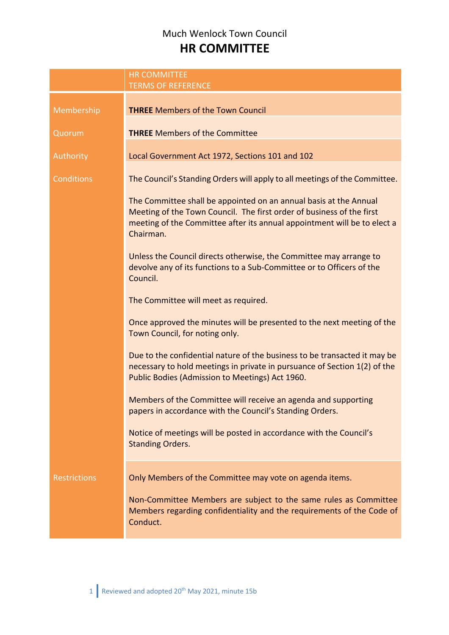## Much Wenlock Town Council **HR COMMITTEE**

|                     | <b>HR COMMITTEE</b><br><b>TERMS OF REFERENCE</b>                                                                                                                                                                                    |  |
|---------------------|-------------------------------------------------------------------------------------------------------------------------------------------------------------------------------------------------------------------------------------|--|
| Membership          | <b>THREE</b> Members of the Town Council                                                                                                                                                                                            |  |
| Quorum              | <b>THREE</b> Members of the Committee                                                                                                                                                                                               |  |
| Authority           | Local Government Act 1972, Sections 101 and 102                                                                                                                                                                                     |  |
| <b>Conditions</b>   | The Council's Standing Orders will apply to all meetings of the Committee.                                                                                                                                                          |  |
|                     | The Committee shall be appointed on an annual basis at the Annual<br>Meeting of the Town Council. The first order of business of the first<br>meeting of the Committee after its annual appointment will be to elect a<br>Chairman. |  |
|                     | Unless the Council directs otherwise, the Committee may arrange to<br>devolve any of its functions to a Sub-Committee or to Officers of the<br>Council.                                                                             |  |
|                     | The Committee will meet as required.                                                                                                                                                                                                |  |
|                     | Once approved the minutes will be presented to the next meeting of the<br>Town Council, for noting only.                                                                                                                            |  |
|                     | Due to the confidential nature of the business to be transacted it may be<br>necessary to hold meetings in private in pursuance of Section 1(2) of the<br>Public Bodies (Admission to Meetings) Act 1960.                           |  |
|                     | Members of the Committee will receive an agenda and supporting<br>papers in accordance with the Council's Standing Orders.                                                                                                          |  |
|                     | Notice of meetings will be posted in accordance with the Council's<br><b>Standing Orders.</b>                                                                                                                                       |  |
| <b>Restrictions</b> | Only Members of the Committee may vote on agenda items.                                                                                                                                                                             |  |
|                     | Non-Committee Members are subject to the same rules as Committee<br>Members regarding confidentiality and the requirements of the Code of<br>Conduct.                                                                               |  |